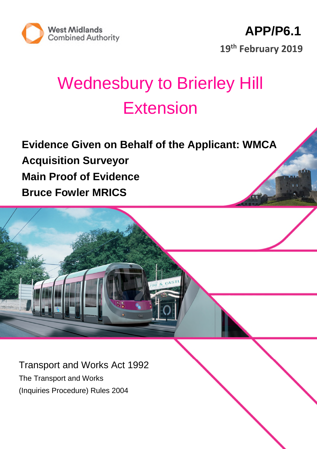

# Wednesbury to Brierley Hill Extension

**Evidence Given on Behalf of the Applicant: WMCA Acquisition Surveyor Main Proof of Evidence Bruce Fowler MRICS**

Transport and Works Act 1992 The Transport and Works (Inquiries Procedure) Rules 2004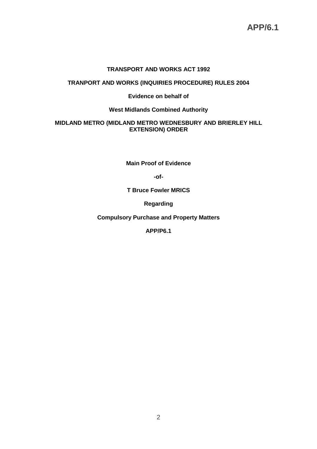# **TRANSPORT AND WORKS ACT 1992**

### **TRANPORT AND WORKS (INQUIRIES PROCEDURE) RULES 2004**

### **Evidence on behalf of**

### **West Midlands Combined Authority**

#### **MIDLAND METRO (MIDLAND METRO WEDNESBURY AND BRIERLEY HILL EXTENSION) ORDER**

**Main Proof of Evidence**

**-of-**

**T Bruce Fowler MRICS**

**Regarding**

**Compulsory Purchase and Property Matters**

**APP/P6.1**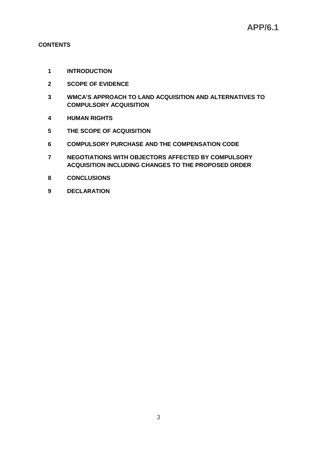# **CONTENTS**

- **INTRODUCTION**
- **SCOPE OF EVIDENCE**
- **WMCA'S APPROACH TO LAND ACQUISITION AND ALTERNATIVES TO COMPULSORY ACQUISITION**
- **HUMAN RIGHTS**
- **THE SCOPE OF ACQUISITION**
- **COMPULSORY PURCHASE AND THE COMPENSATION CODE**
- **NEGOTIATIONS WITH OBJECTORS AFFECTED BY COMPULSORY ACQUISITION INCLUDING CHANGES TO THE PROPOSED ORDER**
- **CONCLUSIONS**
- **DECLARATION**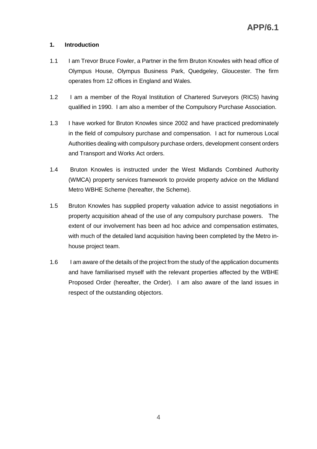# **1. Introduction**

- 1.1 I am Trevor Bruce Fowler, a Partner in the firm Bruton Knowles with head office of Olympus House, Olympus Business Park, Quedgeley, Gloucester. The firm operates from 12 offices in England and Wales.
- 1.2 I am a member of the Royal Institution of Chartered Surveyors (RICS) having qualified in 1990. I am also a member of the Compulsory Purchase Association.
- 1.3 I have worked for Bruton Knowles since 2002 and have practiced predominately in the field of compulsory purchase and compensation. I act for numerous Local Authorities dealing with compulsory purchase orders, development consent orders and Transport and Works Act orders.
- 1.4 Bruton Knowles is instructed under the West Midlands Combined Authority (WMCA) property services framework to provide property advice on the Midland Metro WBHE Scheme (hereafter, the Scheme).
- 1.5 Bruton Knowles has supplied property valuation advice to assist negotiations in property acquisition ahead of the use of any compulsory purchase powers. The extent of our involvement has been ad hoc advice and compensation estimates, with much of the detailed land acquisition having been completed by the Metro inhouse project team.
- 1.6 I am aware of the details of the project from the study of the application documents and have familiarised myself with the relevant properties affected by the WBHE Proposed Order (hereafter, the Order). I am also aware of the land issues in respect of the outstanding objectors.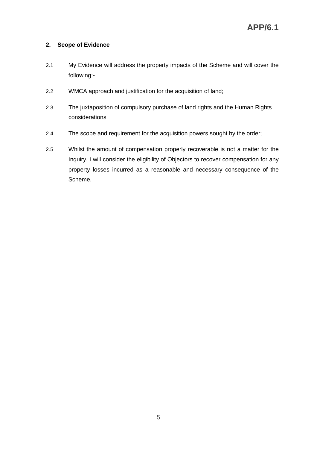# **2. Scope of Evidence**

- 2.1 My Evidence will address the property impacts of the Scheme and will cover the following:-
- 2.2 WMCA approach and justification for the acquisition of land;
- 2.3 The juxtaposition of compulsory purchase of land rights and the Human Rights considerations
- 2.4 The scope and requirement for the acquisition powers sought by the order;
- 2.5 Whilst the amount of compensation properly recoverable is not a matter for the Inquiry, I will consider the eligibility of Objectors to recover compensation for any property losses incurred as a reasonable and necessary consequence of the Scheme.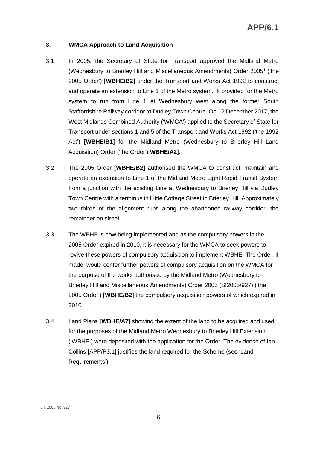# **3. WMCA Approach to Land Acquisition**

- 3.1 In 2005, the Secretary of State for Transport approved the Midland Metro (Wednesbury to Brierley Hill and Miscellaneous Amendments) Order 2005<sup>1</sup> ('the 2005 Order') **[WBHE/B2]** under the Transport and Works Act 1992 to construct and operate an extension to Line 1 of the Metro system. It provided for the Metro system to run from Line 1 at Wednesbury west along the former South Staffordshire Railway corridor to Dudley Town Centre. On 12 December 2017, the West Midlands Combined Authority ('WMCA') applied to the Secretary of State for Transport under sections 1 and 5 of the Transport and Works Act 1992 ('the 1992 Act') **[WBHE/B1]** for the Midland Metro (Wednesbury to Brierley Hill Land Acquisition) Order ('the Order') **WBHE/A2]**.
- 3.2 The 2005 Order **[WBHE/B2]** authorised the WMCA to construct, maintain and operate an extension to Line 1 of the Midland Metro Light Rapid Transit System from a junction with the existing Line at Wednesbury to Brierley Hill via Dudley Town Centre with a terminus in Little Cottage Street in Brierley Hill. Approximately two thirds of the alignment runs along the abandoned railway corridor, the remainder on street.
- 3.3 The WBHE is now being implemented and as the compulsory powers in the 2005 Order expired in 2010, it is necessary for the WMCA to seek powers to revive these powers of compulsory acquisition to implement WBHE. The Order, if made, would confer further powers of compulsory acquisition on the WMCA for the purpose of the works authorised by the Midland Metro (Wednesbury to Brierley Hill and Miscellaneous Amendments) Order 2005 (SI2005/927) ('the 2005 Order') **[WBHE/B2]** the compulsory acquisition powers of which expired in 2010.
- 3.4 Land Plans **[WBHE/A7]** showing the extent of the land to be acquired and used for the purposes of the Midland Metro Wednesbury to Brierley Hill Extension ('WBHE') were deposited with the application for the Order. The evidence of Ian Collins [APP/P3.1] justifies the land required for the Scheme (see 'Land Requirements').

<sup>1</sup> S.I. 2005 No. 927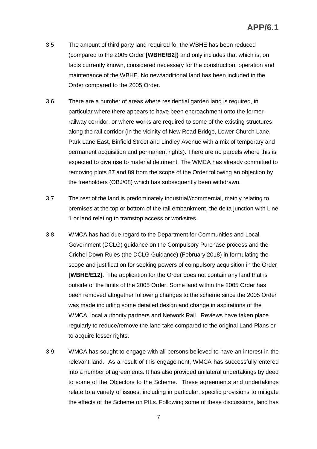- 3.5 The amount of third party land required for the WBHE has been reduced (compared to the 2005 Order **[WBHE/B2])** and only includes that which is, on facts currently known, considered necessary for the construction, operation and maintenance of the WBHE. No new/additional land has been included in the Order compared to the 2005 Order.
- 3.6 There are a number of areas where residential garden land is required, in particular where there appears to have been encroachment onto the former railway corridor, or where works are required to some of the existing structures along the rail corridor (in the vicinity of New Road Bridge, Lower Church Lane, Park Lane East, Binfield Street and Lindley Avenue with a mix of temporary and permanent acquisition and permanent rights). There are no parcels where this is expected to give rise to material detriment. The WMCA has already committed to removing plots 87 and 89 from the scope of the Order following an objection by the freeholders (OBJ/08) which has subsequently been withdrawn.
- 3.7 The rest of the land is predominately industrial//commercial, mainly relating to premises at the top or bottom of the rail embankment, the delta junction with Line 1 or land relating to tramstop access or worksites.
- 3.8 WMCA has had due regard to the Department for Communities and Local Government (DCLG) guidance on the Compulsory Purchase process and the Crichel Down Rules (the DCLG Guidance) (February 2018) in formulating the scope and justification for seeking powers of compulsory acquisition in the Order **[WBHE/E12].** The application for the Order does not contain any land that is outside of the limits of the 2005 Order. Some land within the 2005 Order has been removed altogether following changes to the scheme since the 2005 Order was made including some detailed design and change in aspirations of the WMCA, local authority partners and Network Rail. Reviews have taken place regularly to reduce/remove the land take compared to the original Land Plans or to acquire lesser rights.
- 3.9 WMCA has sought to engage with all persons believed to have an interest in the relevant land. As a result of this engagement, WMCA has successfully entered into a number of agreements. It has also provided unilateral undertakings by deed to some of the Objectors to the Scheme. These agreements and undertakings relate to a variety of issues, including in particular, specific provisions to mitigate the effects of the Scheme on PILs. Following some of these discussions, land has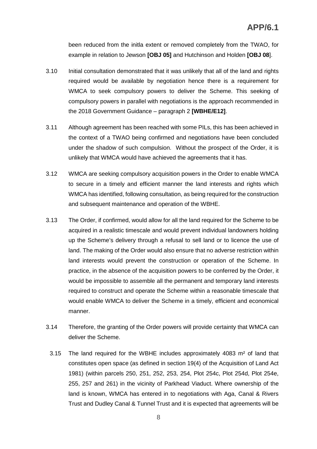been reduced from the initla extent or removed completely from the TWAO, for example in relation to Jewson **[OBJ 05]** and Hutchinson and Holden **[OBJ 08**].

- 3.10 Initial consultation demonstrated that it was unlikely that all of the land and rights required would be available by negotiation hence there is a requirement for WMCA to seek compulsory powers to deliver the Scheme. This seeking of compulsory powers in parallel with negotiations is the approach recommended in the 2018 Government Guidance – paragraph 2 **[WBHE/E12]**.
- 3.11 Although agreement has been reached with some PILs, this has been achieved in the context of a TWAO being confirmed and negotiations have been concluded under the shadow of such compulsion. Without the prospect of the Order, it is unlikely that WMCA would have achieved the agreements that it has.
- 3.12 WMCA are seeking compulsory acquisition powers in the Order to enable WMCA to secure in a timely and efficient manner the land interests and rights which WMCA has identified, following consultation, as being required for the construction and subsequent maintenance and operation of the WBHE.
- 3.13 The Order, if confirmed, would allow for all the land required for the Scheme to be acquired in a realistic timescale and would prevent individual landowners holding up the Scheme's delivery through a refusal to sell land or to licence the use of land. The making of the Order would also ensure that no adverse restriction within land interests would prevent the construction or operation of the Scheme. In practice, in the absence of the acquisition powers to be conferred by the Order, it would be impossible to assemble all the permanent and temporary land interests required to construct and operate the Scheme within a reasonable timescale that would enable WMCA to deliver the Scheme in a timely, efficient and economical manner.
- 3.14 Therefore, the granting of the Order powers will provide certainty that WMCA can deliver the Scheme.
	- 3.15 The land required for the WBHE includes approximately 4083 m² of land that constitutes open space (as defined in section 19(4) of the Acquisition of Land Act 1981) (within parcels 250, 251, 252, 253, 254, Plot 254c, Plot 254d, Plot 254e, 255, 257 and 261) in the vicinity of Parkhead Viaduct. Where ownership of the land is known, WMCA has entered in to negotiations with Aga, Canal & Rivers Trust and Dudley Canal & Tunnel Trust and it is expected that agreements will be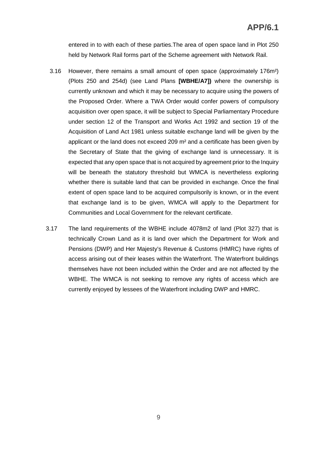entered in to with each of these parties.The area of open space land in Plot 250 held by Network Rail forms part of the Scheme agreement with Network Rail.

- 3.16 However, there remains a small amount of open space (approximately 176m²) (Plots 250 and 254d) (see Land Plans **[WBHE/A7])** where the ownership is currently unknown and which it may be necessary to acquire using the powers of the Proposed Order. Where a TWA Order would confer powers of compulsory acquisition over open space, it will be subject to Special Parliamentary Procedure under section 12 of the Transport and Works Act 1992 and section 19 of the Acquisition of Land Act 1981 unless suitable exchange land will be given by the applicant or the land does not exceed 209 m² and a certificate has been given by the Secretary of State that the giving of exchange land is unnecessary. It is expected that any open space that is not acquired by agreement prior to the Inquiry will be beneath the statutory threshold but WMCA is nevertheless exploring whether there is suitable land that can be provided in exchange. Once the final extent of open space land to be acquired compulsorily is known, or in the event that exchange land is to be given, WMCA will apply to the Department for Communities and Local Government for the relevant certificate.
- 3.17 The land requirements of the WBHE include 4078m2 of land (Plot 327) that is technically Crown Land as it is land over which the Department for Work and Pensions (DWP) and Her Majesty's Revenue & Customs (HMRC) have rights of access arising out of their leases within the Waterfront. The Waterfront buildings themselves have not been included within the Order and are not affected by the WBHE. The WMCA is not seeking to remove any rights of access which are currently enjoyed by lessees of the Waterfront including DWP and HMRC.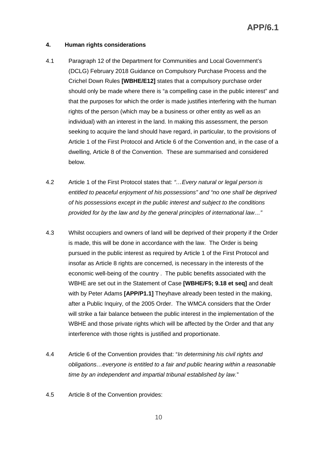# **4. Human rights considerations**

- 4.1 Paragraph 12 of the Department for Communities and Local Government's (DCLG) February 2018 Guidance on Compulsory Purchase Process and the Crichel Down Rules **[WBHE/E12]** states that a compulsory purchase order should only be made where there is "a compelling case in the public interest" and that the purposes for which the order is made justifies interfering with the human rights of the person (which may be a business or other entity as well as an individual) with an interest in the land. In making this assessment, the person seeking to acquire the land should have regard, in particular, to the provisions of Article 1 of the First Protocol and Article 6 of the Convention and, in the case of a dwelling, Article 8 of the Convention. These are summarised and considered below.
- 4.2 Article 1 of the First Protocol states that: *"…Every natural or legal person is entitled to peaceful enjoyment of his possessions" and "no one shall be deprived of his possessions except in the public interest and subject to the conditions provided for by the law and by the general principles of international law…"*
- 4.3 Whilst occupiers and owners of land will be deprived of their property if the Order is made, this will be done in accordance with the law. The Order is being pursued in the public interest as required by Article 1 of the First Protocol and insofar as Article 8 rights are concerned, is necessary in the interests of the economic well-being of the country . The public benefits associated with the WBHE are set out in the Statement of Case **[WBHE/F5; 9.18 et seq]** and dealt with by Peter Adams **[APP/P1.1]** Theyhave already been tested in the making, after a Public Inquiry, of the 2005 Order. The WMCA considers that the Order will strike a fair balance between the public interest in the implementation of the WBHE and those private rights which will be affected by the Order and that any interference with those rights is justified and proportionate.
- 4.4 Article 6 of the Convention provides that: "*In determining his civil rights and obligations…everyone is entitled to a fair and public hearing within a reasonable time by an independent and impartial tribunal established by law.*"
- 4.5 Article 8 of the Convention provides: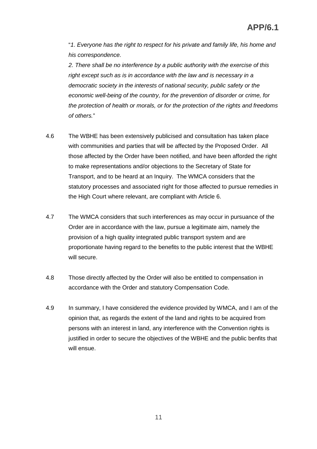"*1*. *Everyone has the right to respect for his private and family life, his home and his correspondence.*

*2. There shall be no interference by a public authority with the exercise of this right except such as is in accordance with the law and is necessary in a democratic society in the interests of national security, public safety or the economic well-being of the country, for the prevention of disorder or crime, for the protection of health or morals, or for the protection of the rights and freedoms of others.*"

- 4.6 The WBHE has been extensively publicised and consultation has taken place with communities and parties that will be affected by the Proposed Order. All those affected by the Order have been notified, and have been afforded the right to make representations and/or objections to the Secretary of State for Transport, and to be heard at an Inquiry. The WMCA considers that the statutory processes and associated right for those affected to pursue remedies in the High Court where relevant, are compliant with Article 6.
- 4.7 The WMCA considers that such interferences as may occur in pursuance of the Order are in accordance with the law, pursue a legitimate aim, namely the provision of a high quality integrated public transport system and are proportionate having regard to the benefits to the public interest that the WBHE will secure.
- 4.8 Those directly affected by the Order will also be entitled to compensation in accordance with the Order and statutory Compensation Code.
- 4.9 In summary, I have considered the evidence provided by WMCA, and I am of the opinion that, as regards the extent of the land and rights to be acquired from persons with an interest in land, any interference with the Convention rights is justified in order to secure the objectives of the WBHE and the public benfits that will ensue.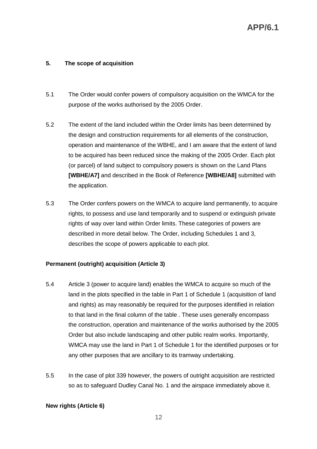# **5. The scope of acquisition**

- 5.1 The Order would confer powers of compulsory acquisition on the WMCA for the purpose of the works authorised by the 2005 Order.
- 5.2 The extent of the land included within the Order limits has been determined by the design and construction requirements for all elements of the construction, operation and maintenance of the WBHE, and I am aware that the extent of land to be acquired has been reduced since the making of the 2005 Order. Each plot (or parcel) of land subject to compulsory powers is shown on the Land Plans **[WBHE/A7]** and described in the Book of Reference **[WBHE/A8]** submitted with the application.
- 5.3 The Order confers powers on the WMCA to acquire land permanently, to acquire rights, to possess and use land temporarily and to suspend or extinguish private rights of way over land within Order limits. These categories of powers are described in more detail below. The Order, including Schedules 1 and 3, describes the scope of powers applicable to each plot.

# **Permanent (outright) acquisition (Article 3)**

- 5.4 Article 3 (power to acquire land) enables the WMCA to acquire so much of the land in the plots specified in the table in Part 1 of Schedule 1 (acquisition of land and rights) as may reasonably be required for the purposes identified in relation to that land in the final column of the table . These uses generally encompass the construction, operation and maintenance of the works authorised by the 2005 Order but also include landscaping and other public realm works. Importantly, WMCA may use the land in Part 1 of Schedule 1 for the identified purposes or for any other purposes that are ancillary to its tramway undertaking.
- 5.5 In the case of plot 339 however, the powers of outright acquisition are restricted so as to safeguard Dudley Canal No. 1 and the airspace immediately above it.

# **New rights (Article 6)**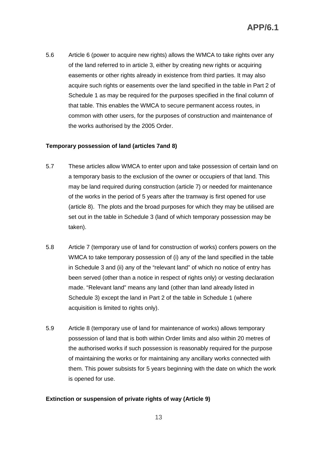5.6 Article 6 (power to acquire new rights) allows the WMCA to take rights over any of the land referred to in article 3, either by creating new rights or acquiring easements or other rights already in existence from third parties. It may also acquire such rights or easements over the land specified in the table in Part 2 of Schedule 1 as may be required for the purposes specified in the final column of that table. This enables the WMCA to secure permanent access routes, in common with other users, for the purposes of construction and maintenance of the works authorised by the 2005 Order.

#### **Temporary possession of land (articles 7and 8)**

- 5.7 These articles allow WMCA to enter upon and take possession of certain land on a temporary basis to the exclusion of the owner or occupiers of that land. This may be land required during construction (article 7) or needed for maintenance of the works in the period of 5 years after the tramway is first opened for use (article 8). The plots and the broad purposes for which they may be utilised are set out in the table in Schedule 3 (land of which temporary possession may be taken).
- 5.8 Article 7 (temporary use of land for construction of works) confers powers on the WMCA to take temporary possession of (i) any of the land specified in the table in Schedule 3 and (ii) any of the "relevant land" of which no notice of entry has been served (other than a notice in respect of rights only) or vesting declaration made. "Relevant land" means any land (other than land already listed in Schedule 3) except the land in Part 2 of the table in Schedule 1 (where acquisition is limited to rights only).
- 5.9 Article 8 (temporary use of land for maintenance of works) allows temporary possession of land that is both within Order limits and also within 20 metres of the authorised works if such possession is reasonably required for the purpose of maintaining the works or for maintaining any ancillary works connected with them. This power subsists for 5 years beginning with the date on which the work is opened for use.

#### **Extinction or suspension of private rights of way (Article 9)**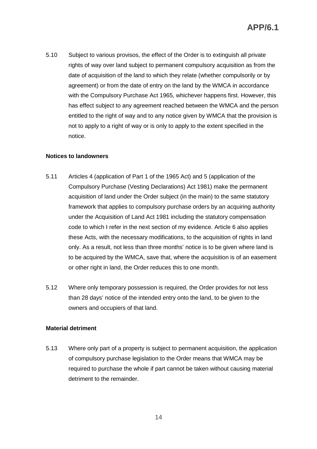5.10 Subject to various provisos, the effect of the Order is to extinguish all private rights of way over land subject to permanent compulsory acquisition as from the date of acquisition of the land to which they relate (whether compulsorily or by agreement) or from the date of entry on the land by the WMCA in accordance with the Compulsory Purchase Act 1965, whichever happens first. However, this has effect subject to any agreement reached between the WMCA and the person entitled to the right of way and to any notice given by WMCA that the provision is not to apply to a right of way or is only to apply to the extent specified in the notice.

### **Notices to landowners**

- 5.11 Articles 4 (application of Part 1 of the 1965 Act) and 5 (application of the Compulsory Purchase (Vesting Declarations) Act 1981) make the permanent acquisition of land under the Order subject (in the main) to the same statutory framework that applies to compulsory purchase orders by an acquiring authority under the Acquisition of Land Act 1981 including the statutory compensation code to which I refer in the next section of my evidence. Article 6 also applies these Acts, with the necessary modifications, to the acquisition of rights in land only. As a result, not less than three months' notice is to be given where land is to be acquired by the WMCA, save that, where the acquisition is of an easement or other right in land, the Order reduces this to one month.
- 5.12 Where only temporary possession is required, the Order provides for not less than 28 days' notice of the intended entry onto the land, to be given to the owners and occupiers of that land.

#### **Material detriment**

5.13 Where only part of a property is subject to permanent acquisition, the application of compulsory purchase legislation to the Order means that WMCA may be required to purchase the whole if part cannot be taken without causing material detriment to the remainder.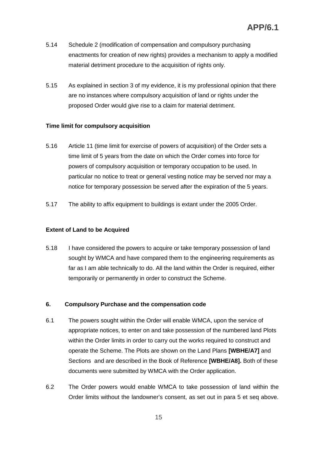- 5.14 Schedule 2 (modification of compensation and compulsory purchasing enactments for creation of new rights) provides a mechanism to apply a modified material detriment procedure to the acquisition of rights only.
- 5.15 As explained in section 3 of my evidence, it is my professional opinion that there are no instances where compulsory acquisition of land or rights under the proposed Order would give rise to a claim for material detriment.

# **Time limit for compulsory acquisition**

- 5.16 Article 11 (time limit for exercise of powers of acquisition) of the Order sets a time limit of 5 years from the date on which the Order comes into force for powers of compulsory acquisition or temporary occupation to be used. In particular no notice to treat or general vesting notice may be served nor may a notice for temporary possession be served after the expiration of the 5 years.
- 5.17 The ability to affix equipment to buildings is extant under the 2005 Order.

# **Extent of Land to be Acquired**

5.18 I have considered the powers to acquire or take temporary possession of land sought by WMCA and have compared them to the engineering requirements as far as I am able technically to do. All the land within the Order is required, either temporarily or permanently in order to construct the Scheme.

# **6. Compulsory Purchase and the compensation code**

- 6.1 The powers sought within the Order will enable WMCA, upon the service of appropriate notices, to enter on and take possession of the numbered land Plots within the Order limits in order to carry out the works required to construct and operate the Scheme. The Plots are shown on the Land Plans **[WBHE/A7]** and Sections and are described in the Book of Reference **[WBHE/A8].** Both of these documents were submitted by WMCA with the Order application.
- 6.2 The Order powers would enable WMCA to take possession of land within the Order limits without the landowner's consent, as set out in para 5 et seq above.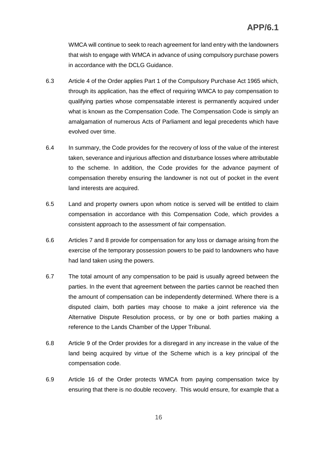WMCA will continue to seek to reach agreement for land entry with the landowners that wish to engage with WMCA in advance of using compulsory purchase powers in accordance with the DCLG Guidance.

- 6.3 Article 4 of the Order applies Part 1 of the Compulsory Purchase Act 1965 which, through its application, has the effect of requiring WMCA to pay compensation to qualifying parties whose compensatable interest is permanently acquired under what is known as the Compensation Code. The Compensation Code is simply an amalgamation of numerous Acts of Parliament and legal precedents which have evolved over time.
- 6.4 In summary, the Code provides for the recovery of loss of the value of the interest taken, severance and injurious affection and disturbance losses where attributable to the scheme. In addition, the Code provides for the advance payment of compensation thereby ensuring the landowner is not out of pocket in the event land interests are acquired.
- 6.5 Land and property owners upon whom notice is served will be entitled to claim compensation in accordance with this Compensation Code, which provides a consistent approach to the assessment of fair compensation.
- 6.6 Articles 7 and 8 provide for compensation for any loss or damage arising from the exercise of the temporary possession powers to be paid to landowners who have had land taken using the powers.
- 6.7 The total amount of any compensation to be paid is usually agreed between the parties. In the event that agreement between the parties cannot be reached then the amount of compensation can be independently determined. Where there is a disputed claim, both parties may choose to make a joint reference via the Alternative Dispute Resolution process, or by one or both parties making a reference to the Lands Chamber of the Upper Tribunal.
- 6.8 Article 9 of the Order provides for a disregard in any increase in the value of the land being acquired by virtue of the Scheme which is a key principal of the compensation code.
- 6.9 Article 16 of the Order protects WMCA from paying compensation twice by ensuring that there is no double recovery. This would ensure, for example that a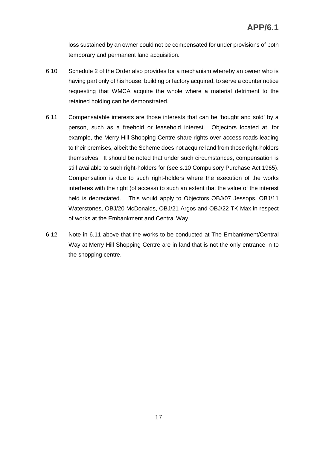loss sustained by an owner could not be compensated for under provisions of both temporary and permanent land acquisition.

- 6.10 Schedule 2 of the Order also provides for a mechanism whereby an owner who is having part only of his house, building or factory acquired, to serve a counter notice requesting that WMCA acquire the whole where a material detriment to the retained holding can be demonstrated.
- 6.11 Compensatable interests are those interests that can be 'bought and sold' by a person, such as a freehold or leasehold interest. Objectors located at, for example, the Merry Hill Shopping Centre share rights over access roads leading to their premises, albeit the Scheme does not acquire land from those right-holders themselves. It should be noted that under such circumstances, compensation is still available to such right-holders for (see s.10 Compulsory Purchase Act 1965). Compensation is due to such right-holders where the execution of the works interferes with the right (of access) to such an extent that the value of the interest held is depreciated. This would apply to Objectors OBJ/07 Jessops, OBJ/11 Waterstones, OBJ/20 McDonalds, OBJ/21 Argos and OBJ/22 TK Max in respect of works at the Embankment and Central Way.
- 6.12 Note in 6.11 above that the works to be conducted at The Embankment/Central Way at Merry Hill Shopping Centre are in land that is not the only entrance in to the shopping centre.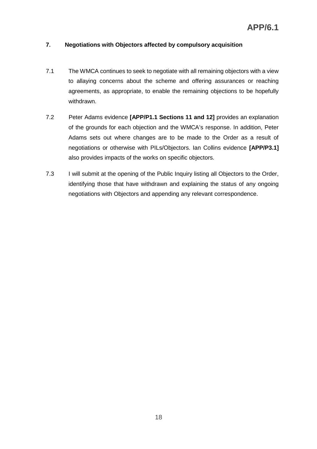# **7. Negotiations with Objectors affected by compulsory acquisition**

- 7.1 The WMCA continues to seek to negotiate with all remaining objectors with a view to allaying concerns about the scheme and offering assurances or reaching agreements, as appropriate, to enable the remaining objections to be hopefully withdrawn.
- 7.2 Peter Adams evidence **[APP/P1.1 Sections 11 and 12]** provides an explanation of the grounds for each objection and the WMCA's response. In addition, Peter Adams sets out where changes are to be made to the Order as a result of negotiations or otherwise with PILs/Objectors. Ian Collins evidence **[APP/P3.1]** also provides impacts of the works on specific objectors.
- 7.3 I will submit at the opening of the Public Inquiry listing all Objectors to the Order, identifying those that have withdrawn and explaining the status of any ongoing negotiations with Objectors and appending any relevant correspondence.